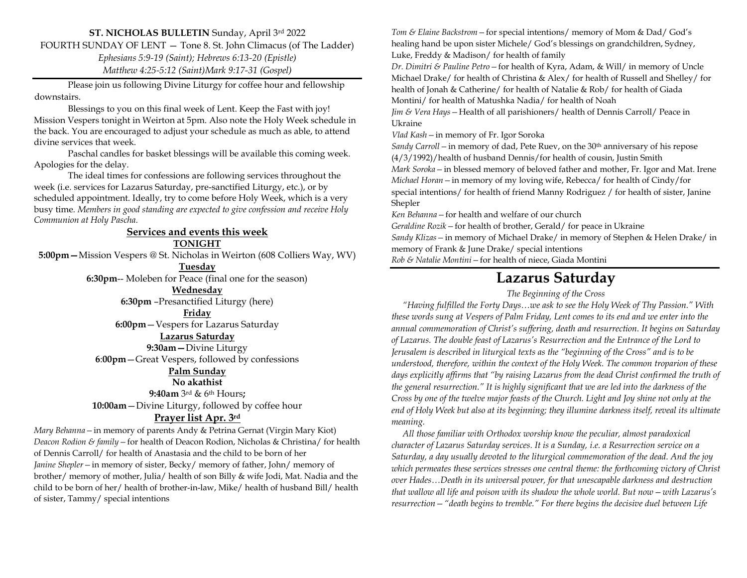#### **ST. NICHOLAS BULLETIN** Sunday, April 3rd 2022

FOURTH SUNDAY OF LENT — Tone 8. St. John Climacus (of The Ladder)

*Ephesians 5:9-19 (Saint); Hebrews 6:13-20 (Epistle)*

*Matthew 4:25-5:12 (Saint)Mark 9:17-31 (Gospel)*

Please join us following Divine Liturgy for coffee hour and fellowship downstairs.

Blessings to you on this final week of Lent. Keep the Fast with joy! Mission Vespers tonight in Weirton at 5pm. Also note the Holy Week schedule in the back. You are encouraged to adjust your schedule as much as able, to attend divine services that week.

Paschal candles for basket blessings will be available this coming week. Apologies for the delay.

The ideal times for confessions are following services throughout the week (i.e. services for Lazarus Saturday, pre-sanctified Liturgy, etc.), or by scheduled appointment. Ideally, try to come before Holy Week, which is a very busy time. *Members in good standing are expected to give confession and receive Holy Communion at Holy Pascha.*

### **Services and events this week TONIGHT**

**5:00pm—**Mission Vespers @ St. Nicholas in Weirton (608 Colliers Way, WV)

**Tuesday 6:30pm**-- Moleben for Peace (final one for the season) **Wednesday**

**6:30pm** –Presanctified Liturgy (here)

**Friday**

**6:00pm**—Vespers for Lazarus Saturday

#### **Lazarus Saturday**

**9:30am—**Divine Liturgy

**6**:**00pm**—Great Vespers, followed by confessions

#### **Palm Sunday**

**No akathist 9:40am** 3 rd & 6th Hours**; 10:00am**—Divine Liturgy, followed by coffee hour **Prayer list Apr. 3rd**

*Mary Behanna—*in memory of parents Andy & Petrina Gernat (Virgin Mary Kiot) *Deacon Rodion & family—*for health of Deacon Rodion, Nicholas & Christina/ for health of Dennis Carroll/ for health of Anastasia and the child to be born of her *Janine Shepler—*in memory of sister, Becky/ memory of father, John/ memory of brother/ memory of mother, Julia/ health of son Billy & wife Jodi, Mat. Nadia and the child to be born of her/ health of brother-in-law, Mike/ health of husband Bill/ health of sister, Tammy/ special intentions

*Tom & Elaine Backstrom—*for special intentions/ memory of Mom & Dad/ God's healing hand be upon sister Michele/ God's blessings on grandchildren, Sydney, Luke, Freddy & Madison/ for health of family

*Dr. Dimitri & Pauline Petro—*for health of Kyra, Adam, & Will/ in memory of Uncle Michael Drake/ for health of Christina & Alex/ for health of Russell and Shelley/ for health of Jonah & Catherine/ for health of Natalie & Rob/ for health of Giada Montini/ for health of Matushka Nadia/ for health of Noah

*Jim & Vera Hays—*Health of all parishioners/ health of Dennis Carroll/ Peace in Ukraine

*Vlad Kash—*in memory of Fr. Igor Soroka

*Sandy Carroll—*in memory of dad, Pete Ruev, on the 30th anniversary of his repose (4/3/1992)/health of husband Dennis/for health of cousin, Justin Smith

*Mark Soroka—*in blessed memory of beloved father and mother, Fr. Igor and Mat. Irene *Michael Horan—*in memory of my loving wife, Rebecca/ for health of Cindy/for special intentions/ for health of friend Manny Rodriguez / for health of sister, Janine Shepler

*Ken Behanna—*for health and welfare of our church

*Geraldine Rozik—*for health of brother, Gerald/ for peace in Ukraine

*Sandy Klizas—*in memory of Michael Drake/ in memory of Stephen & Helen Drake/ in memory of Frank & June Drake/ special intentions

*Rob & Natalie Montini—*for health of niece, Giada Montini

## **Lazarus Saturday**

#### *The Beginning of the Cross*

 *"Having fulfilled the Forty Days…we ask to see the Holy Week of Thy Passion." With these words sung at Vespers of Palm Friday, Lent comes to its end and we enter into the annual commemoration of Christ's suffering, death and resurrection. It begins on Saturday of Lazarus. The double feast of Lazarus's Resurrection and the Entrance of the Lord to Jerusalem is described in liturgical texts as the "beginning of the Cross" and is to be understood, therefore, within the context of the Holy Week. The common troparion of these days explicitly affirms that "by raising Lazarus from the dead Christ confirmed the truth of the general resurrection." It is highly significant that we are led into the darkness of the Cross by one of the twelve major feasts of the Church. Light and Joy shine not only at the end of Holy Week but also at its beginning; they illumine darkness itself, reveal its ultimate meaning.*

 *All those familiar with Orthodox worship know the peculiar, almost paradoxical character of Lazarus Saturday services. It is a Sunday, i.e. a Resurrection service on a Saturday, a day usually devoted to the liturgical commemoration of the dead. And the joy which permeates these services stresses one central theme: the forthcoming victory of Christ over Hades…Death in its universal power, for that unescapable darkness and destruction that wallow all life and poison with its shadow the whole world. But now—with Lazarus's resurrection—"death begins to tremble." For there begins the decisive duel between Life*